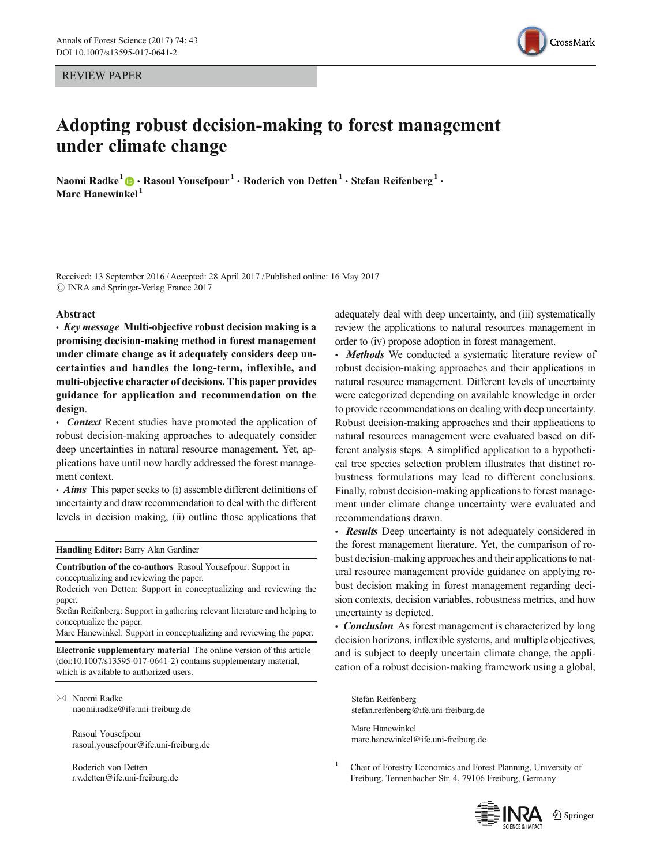REVIEW PAPER



# Adopting robust decision-making to forest management under climate change

Naomi Radke<sup>1</sup>  $\cdot$  Rasoul Yousefpour<sup>1</sup>  $\cdot$  Roderich von Detten<sup>1</sup>  $\cdot$  Stefan Reifenberg<sup>1</sup>  $\cdot$ Marc Hanewinkel<sup>1</sup>

Received: 13 September 2016 /Accepted: 28 April 2017 / Published online: 16 May 2017  $\odot$  INRA and Springer-Verlag France 2017

#### Abstract

• Key message Multi-objective robust decision making is a promising decision-making method in forest management under climate change as it adequately considers deep uncertainties and handles the long-term, inflexible, and multi-objective character of decisions. This paper provides guidance for application and recommendation on the design.

• Context Recent studies have promoted the application of robust decision-making approaches to adequately consider deep uncertainties in natural resource management. Yet, applications have until now hardly addressed the forest management context.

• Aims This paper seeks to (i) assemble different definitions of uncertainty and draw recommendation to deal with the different levels in decision making, (ii) outline those applications that

## Handling Editor: Barry Alan Gardiner

Contribution of the co-authors Rasoul Yousefpour: Support in conceptualizing and reviewing the paper.

Roderich von Detten: Support in conceptualizing and reviewing the paper.

Stefan Reifenberg: Support in gathering relevant literature and helping to conceptualize the paper.

Marc Hanewinkel: Support in conceptualizing and reviewing the paper.

Electronic supplementary material The online version of this article (doi[:10.1007/s13595-017-0641-2](http://dx.doi.org/10.1007/s13595-017-0641-2)) contains supplementary material, which is available to authorized users.

 $\boxtimes$  Naomi Radke naomi.radke@ife.uni-freiburg.de

> Rasoul Yousefpour rasoul.yousefpour@ife.uni-freiburg.de

Roderich von Detten r.v.detten@ife.uni-freiburg.de

adequately deal with deep uncertainty, and (iii) systematically review the applications to natural resources management in order to (iv) propose adoption in forest management.

• Methods We conducted a systematic literature review of robust decision-making approaches and their applications in natural resource management. Different levels of uncertainty were categorized depending on available knowledge in order to provide recommendations on dealing with deep uncertainty. Robust decision-making approaches and their applications to natural resources management were evaluated based on different analysis steps. A simplified application to a hypothetical tree species selection problem illustrates that distinct robustness formulations may lead to different conclusions. Finally, robust decision-making applications to forest management under climate change uncertainty were evaluated and recommendations drawn.

• Results Deep uncertainty is not adequately considered in the forest management literature. Yet, the comparison of robust decision-making approaches and their applications to natural resource management provide guidance on applying robust decision making in forest management regarding decision contexts, decision variables, robustness metrics, and how uncertainty is depicted.

• Conclusion As forest management is characterized by long decision horizons, inflexible systems, and multiple objectives, and is subject to deeply uncertain climate change, the application of a robust decision-making framework using a global,

Stefan Reifenberg stefan.reifenberg@ife.uni-freiburg.de

Marc Hanewinkel marc.hanewinkel@ife.uni-freiburg.de

<sup>1</sup> Chair of Forestry Economics and Forest Planning, University of Freiburg, Tennenbacher Str. 4, 79106 Freiburg, Germany



 $\hat{\mathfrak{D}}$  Springer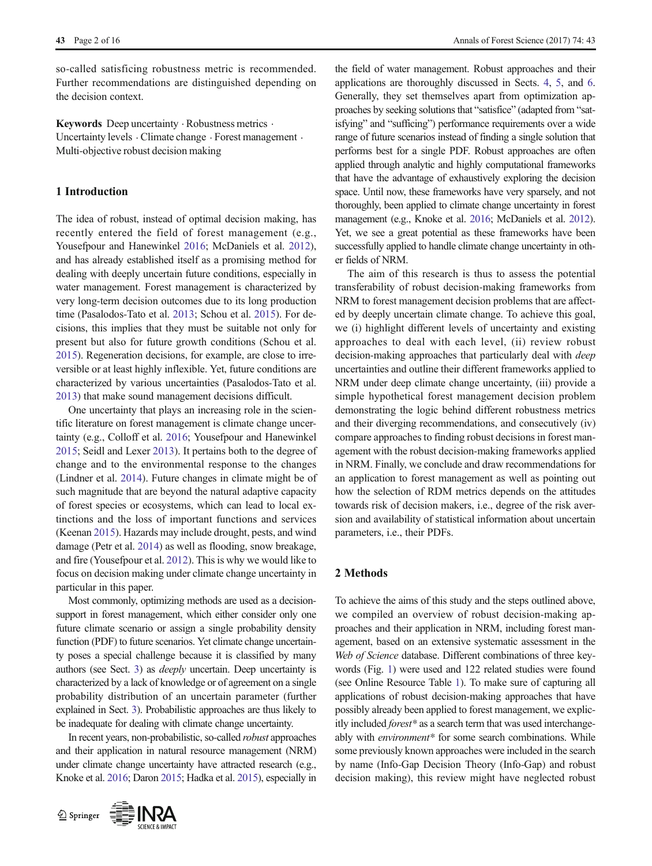<span id="page-1-0"></span>so-called satisficing robustness metric is recommended. Further recommendations are distinguished depending on the decision context.

Keywords Deep uncertainty · Robustness metrics · Uncertainty levels . Climate change . Forest management . Multi-objective robust decision making

# 1 Introduction

The idea of robust, instead of optimal decision making, has recently entered the field of forest management (e.g., Yousefpour and Hanewinkel [2016;](#page-15-0) McDaniels et al. [2012\)](#page-14-0), and has already established itself as a promising method for dealing with deeply uncertain future conditions, especially in water management. Forest management is characterized by very long-term decision outcomes due to its long production time (Pasalodos-Tato et al. [2013;](#page-14-0) Schou et al. [2015\)](#page-14-0). For decisions, this implies that they must be suitable not only for present but also for future growth conditions (Schou et al. [2015\)](#page-14-0). Regeneration decisions, for example, are close to irreversible or at least highly inflexible. Yet, future conditions are characterized by various uncertainties (Pasalodos-Tato et al. [2013\)](#page-14-0) that make sound management decisions difficult.

One uncertainty that plays an increasing role in the scientific literature on forest management is climate change uncertainty (e.g., Colloff et al. [2016](#page-13-0); Yousefpour and Hanewinkel [2015;](#page-15-0) Seidl and Lexer [2013](#page-14-0)). It pertains both to the degree of change and to the environmental response to the changes (Lindner et al. [2014\)](#page-14-0). Future changes in climate might be of such magnitude that are beyond the natural adaptive capacity of forest species or ecosystems, which can lead to local extinctions and the loss of important functions and services (Keenan [2015](#page-14-0)). Hazards may include drought, pests, and wind damage (Petr et al. [2014](#page-14-0)) as well as flooding, snow breakage, and fire (Yousefpour et al. [2012\)](#page-15-0). This is why we would like to focus on decision making under climate change uncertainty in particular in this paper.

Most commonly, optimizing methods are used as a decisionsupport in forest management, which either consider only one future climate scenario or assign a single probability density function (PDF) to future scenarios. Yet climate change uncertainty poses a special challenge because it is classified by many authors (see Sect. [3](#page-2-0)) as deeply uncertain. Deep uncertainty is characterized by a lack of knowledge or of agreement on a single probability distribution of an uncertain parameter (further explained in Sect. [3](#page-2-0)). Probabilistic approaches are thus likely to be inadequate for dealing with climate change uncertainty.

In recent years, non-probabilistic, so-called robust approaches and their application in natural resource management (NRM) under climate change uncertainty have attracted research (e.g., Knoke et al. [2016;](#page-14-0) Daron [2015;](#page-13-0) Hadka et al. [2015\)](#page-14-0), especially in

 $\frac{2}{2}$  Springer



the field of water management. Robust approaches and their applications are thoroughly discussed in Sects. [4,](#page-4-0) [5,](#page-5-0) and [6.](#page-9-0) Generally, they set themselves apart from optimization approaches by seeking solutions that "satisfice" (adapted from "satisfying" and "sufficing") performance requirements over a wide range of future scenarios instead of finding a single solution that performs best for a single PDF. Robust approaches are often applied through analytic and highly computational frameworks that have the advantage of exhaustively exploring the decision space. Until now, these frameworks have very sparsely, and not thoroughly, been applied to climate change uncertainty in forest management (e.g., Knoke et al. [2016](#page-14-0); McDaniels et al. [2012\)](#page-14-0). Yet, we see a great potential as these frameworks have been successfully applied to handle climate change uncertainty in other fields of NRM.

The aim of this research is thus to assess the potential transferability of robust decision-making frameworks from NRM to forest management decision problems that are affected by deeply uncertain climate change. To achieve this goal, we (i) highlight different levels of uncertainty and existing approaches to deal with each level, (ii) review robust decision-making approaches that particularly deal with *deep* uncertainties and outline their different frameworks applied to NRM under deep climate change uncertainty, (iii) provide a simple hypothetical forest management decision problem demonstrating the logic behind different robustness metrics and their diverging recommendations, and consecutively (iv) compare approaches to finding robust decisions in forest management with the robust decision-making frameworks applied in NRM. Finally, we conclude and draw recommendations for an application to forest management as well as pointing out how the selection of RDM metrics depends on the attitudes towards risk of decision makers, i.e., degree of the risk aversion and availability of statistical information about uncertain parameters, i.e., their PDFs.

# 2 Methods

To achieve the aims of this study and the steps outlined above, we compiled an overview of robust decision-making approaches and their application in NRM, including forest management, based on an extensive systematic assessment in the Web of Science database. Different combinations of three keywords (Fig. [1\)](#page-2-0) were used and 122 related studies were found (see Online Resource Table 1). To make sure of capturing all applications of robust decision-making approaches that have possibly already been applied to forest management, we explicitly included *forest*\* as a search term that was used interchangeably with *environment*\* for some search combinations. While some previously known approaches were included in the search by name (Info-Gap Decision Theory (Info-Gap) and robust decision making), this review might have neglected robust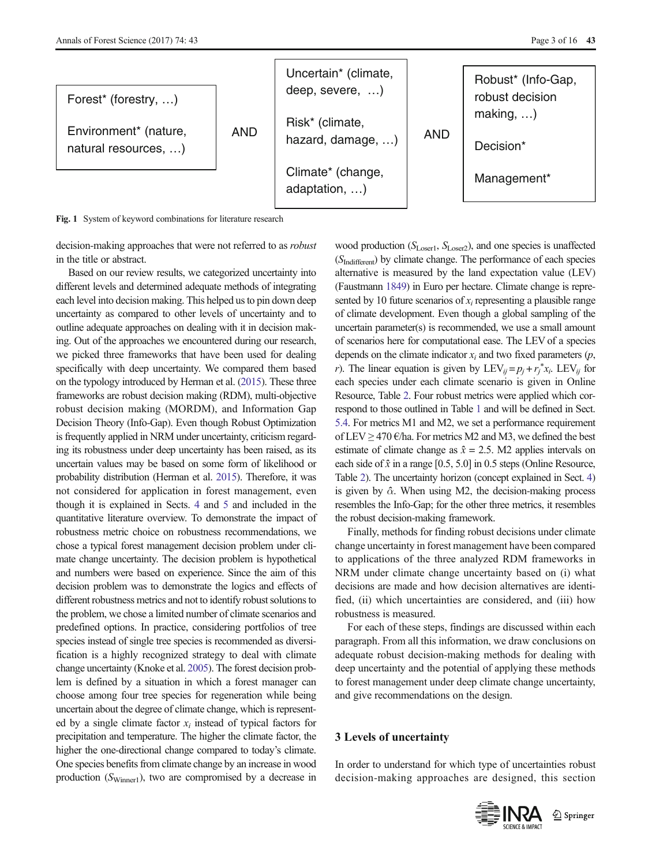<span id="page-2-0"></span>

Fig. 1 System of keyword combinations for literature research

decision-making approaches that were not referred to as robust in the title or abstract.

Based on our review results, we categorized uncertainty into different levels and determined adequate methods of integrating each level into decision making. This helped us to pin down deep uncertainty as compared to other levels of uncertainty and to outline adequate approaches on dealing with it in decision making. Out of the approaches we encountered during our research, we picked three frameworks that have been used for dealing specifically with deep uncertainty. We compared them based on the typology introduced by Herman et al. [\(2015\)](#page-14-0). These three frameworks are robust decision making (RDM), multi-objective robust decision making (MORDM), and Information Gap Decision Theory (Info-Gap). Even though Robust Optimization is frequently applied in NRM under uncertainty, criticism regarding its robustness under deep uncertainty has been raised, as its uncertain values may be based on some form of likelihood or probability distribution (Herman et al. [2015](#page-14-0)). Therefore, it was not considered for application in forest management, even though it is explained in Sects. [4](#page-4-0) and [5](#page-5-0) and included in the quantitative literature overview. To demonstrate the impact of robustness metric choice on robustness recommendations, we chose a typical forest management decision problem under climate change uncertainty. The decision problem is hypothetical and numbers were based on experience. Since the aim of this decision problem was to demonstrate the logics and effects of different robustness metrics and not to identify robust solutions to the problem, we chose a limited number of climate scenarios and predefined options. In practice, considering portfolios of tree species instead of single tree species is recommended as diversification is a highly recognized strategy to deal with climate change uncertainty (Knoke et al. [2005](#page-14-0)). The forest decision problem is defined by a situation in which a forest manager can choose among four tree species for regeneration while being uncertain about the degree of climate change, which is represented by a single climate factor  $x_i$  instead of typical factors for precipitation and temperature. The higher the climate factor, the higher the one-directional change compared to today's climate. One species benefits from climate change by an increase in wood production (S<sub>Winner1</sub>), two are compromised by a decrease in

wood production  $(S_{Loss 1}, S_{Loss 2})$ , and one species is unaffected  $(S<sub>Indifferent</sub>)$  by climate change. The performance of each species alternative is measured by the land expectation value (LEV) (Faustmann [1849](#page-13-0)) in Euro per hectare. Climate change is represented by 10 future scenarios of  $x_i$  representing a plausible range of climate development. Even though a global sampling of the uncertain parameter(s) is recommended, we use a small amount of scenarios here for computational ease. The LEV of a species depends on the climate indicator  $x_i$  and two fixed parameters  $(p,$ *r*). The linear equation is given by  $LEV_{ij} = p_j + r_j^* x_i$ . LEV<sub>ij</sub> for each species under each climate scenario is given in Online Resource, Table 2. Four robust metrics were applied which correspond to those outlined in Table [1](#page-3-0) and will be defined in Sect. [5.4.](#page-7-0) For metrics M1 and M2, we set a performance requirement of LEV  $\geq$  470 €/ha. For metrics M2 and M3, we defined the best estimate of climate change as  $\hat{x} = 2.5$ . M2 applies intervals on each side of  $\hat{x}$  in a range [0.5, 5.0] in 0.5 steps (Online Resource, Table 2). The uncertainty horizon (concept explained in Sect. [4](#page-4-0)) is given by  $\hat{\alpha}$ . When using M2, the decision-making process resembles the Info-Gap; for the other three metrics, it resembles the robust decision-making framework.

Finally, methods for finding robust decisions under climate change uncertainty in forest management have been compared to applications of the three analyzed RDM frameworks in NRM under climate change uncertainty based on (i) what decisions are made and how decision alternatives are identified, (ii) which uncertainties are considered, and (iii) how robustness is measured.

For each of these steps, findings are discussed within each paragraph. From all this information, we draw conclusions on adequate robust decision-making methods for dealing with deep uncertainty and the potential of applying these methods to forest management under deep climate change uncertainty, and give recommendations on the design.

# 3 Levels of uncertainty

In order to understand for which type of uncertainties robust decision-making approaches are designed, this section

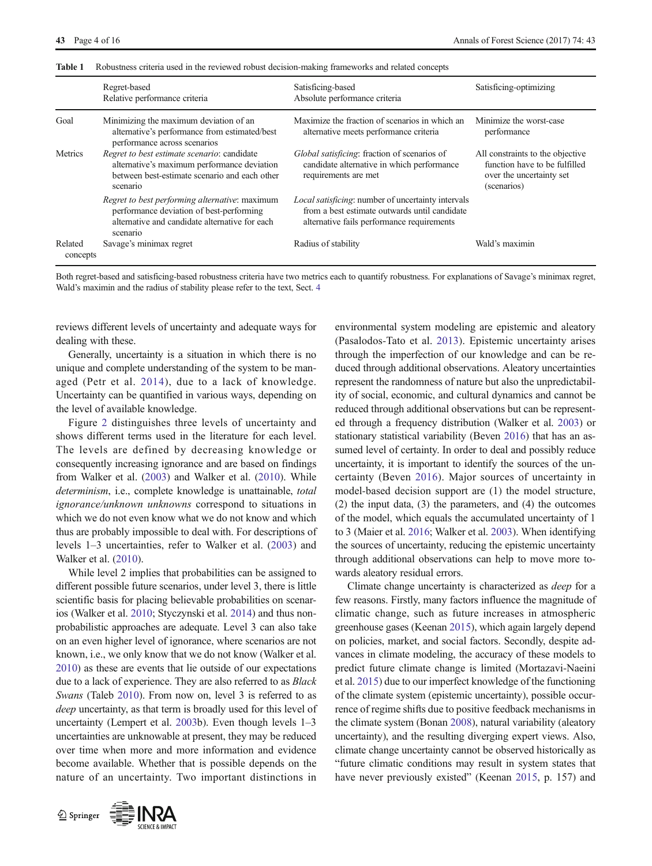|                     | Regret-based<br>Relative performance criteria                                                                                                            | Satisficing-based<br>Absolute performance criteria                                                                                                        | Satisficing-optimizing                                                                                       |
|---------------------|----------------------------------------------------------------------------------------------------------------------------------------------------------|-----------------------------------------------------------------------------------------------------------------------------------------------------------|--------------------------------------------------------------------------------------------------------------|
| Goal                | Minimizing the maximum deviation of an<br>alternative's performance from estimated/best<br>performance across scenarios                                  | Maximize the fraction of scenarios in which an<br>alternative meets performance criteria                                                                  | Minimize the worst-case<br>performance                                                                       |
| Metrics             | Regret to best estimate scenario: candidate<br>alternative's maximum performance deviation<br>between best-estimate scenario and each other<br>scenario  | Global satisficing: fraction of scenarios of<br>candidate alternative in which performance<br>requirements are met                                        | All constraints to the objective<br>function have to be fulfilled<br>over the uncertainty set<br>(scenarios) |
|                     | Regret to best performing alternative: maximum<br>performance deviation of best-performing<br>alternative and candidate alternative for each<br>scenario | <i>Local satisficing</i> : number of uncertainty intervals<br>from a best estimate outwards until candidate<br>alternative fails performance requirements |                                                                                                              |
| Related<br>concepts | Savage's minimax regret                                                                                                                                  | Radius of stability                                                                                                                                       | Wald's maximin                                                                                               |

<span id="page-3-0"></span>Table 1 Robustness criteria used in the reviewed robust decision-making frameworks and related concepts

Both regret-based and satisficing-based robustness criteria have two metrics each to quantify robustness. For explanations of Savage's minimax regret, Wald's maximin and the radius of stability please refer to the text, Sect. [4](#page-4-0)

reviews different levels of uncertainty and adequate ways for dealing with these.

Generally, uncertainty is a situation in which there is no unique and complete understanding of the system to be managed (Petr et al. [2014](#page-14-0)), due to a lack of knowledge. Uncertainty can be quantified in various ways, depending on the level of available knowledge.

Figure [2](#page-4-0) distinguishes three levels of uncertainty and shows different terms used in the literature for each level. The levels are defined by decreasing knowledge or consequently increasing ignorance and are based on findings from Walker et al. ([2003](#page-14-0)) and Walker et al. [\(2010\)](#page-15-0). While determinism, i.e., complete knowledge is unattainable, total ignorance/unknown unknowns correspond to situations in which we do not even know what we do not know and which thus are probably impossible to deal with. For descriptions of levels 1–3 uncertainties, refer to Walker et al. ([2003\)](#page-14-0) and Walker et al. [\(2010\)](#page-15-0).

While level 2 implies that probabilities can be assigned to different possible future scenarios, under level 3, there is little scientific basis for placing believable probabilities on scenarios (Walker et al. [2010](#page-15-0); Styczynski et al. [2014](#page-14-0)) and thus nonprobabilistic approaches are adequate. Level 3 can also take on an even higher level of ignorance, where scenarios are not known, i.e., we only know that we do not know (Walker et al. [2010\)](#page-15-0) as these are events that lie outside of our expectations due to a lack of experience. They are also referred to as Black Swans (Taleb [2010\)](#page-14-0). From now on, level 3 is referred to as deep uncertainty, as that term is broadly used for this level of uncertainty (Lempert et al. [2003](#page-14-0)b). Even though levels 1–3 uncertainties are unknowable at present, they may be reduced over time when more and more information and evidence become available. Whether that is possible depends on the nature of an uncertainty. Two important distinctions in

 $\hat{Z}$  Springer  $\hat{=}$ 

environmental system modeling are epistemic and aleatory (Pasalodos-Tato et al. [2013](#page-14-0)). Epistemic uncertainty arises through the imperfection of our knowledge and can be reduced through additional observations. Aleatory uncertainties represent the randomness of nature but also the unpredictability of social, economic, and cultural dynamics and cannot be reduced through additional observations but can be represented through a frequency distribution (Walker et al. [2003](#page-14-0)) or stationary statistical variability (Beven [2016](#page-13-0)) that has an assumed level of certainty. In order to deal and possibly reduce uncertainty, it is important to identify the sources of the uncertainty (Beven [2016](#page-13-0)). Major sources of uncertainty in model-based decision support are (1) the model structure, (2) the input data, (3) the parameters, and (4) the outcomes of the model, which equals the accumulated uncertainty of 1 to 3 (Maier et al. [2016](#page-14-0); Walker et al. [2003](#page-14-0)). When identifying the sources of uncertainty, reducing the epistemic uncertainty through additional observations can help to move more towards aleatory residual errors.

Climate change uncertainty is characterized as deep for a few reasons. Firstly, many factors influence the magnitude of climatic change, such as future increases in atmospheric greenhouse gases (Keenan [2015](#page-14-0)), which again largely depend on policies, market, and social factors. Secondly, despite advances in climate modeling, the accuracy of these models to predict future climate change is limited (Mortazavi-Naeini et al. [2015](#page-14-0)) due to our imperfect knowledge of the functioning of the climate system (epistemic uncertainty), possible occurrence of regime shifts due to positive feedback mechanisms in the climate system (Bonan [2008](#page-13-0)), natural variability (aleatory uncertainty), and the resulting diverging expert views. Also, climate change uncertainty cannot be observed historically as "future climatic conditions may result in system states that have never previously existed" (Keenan [2015](#page-14-0), p. 157) and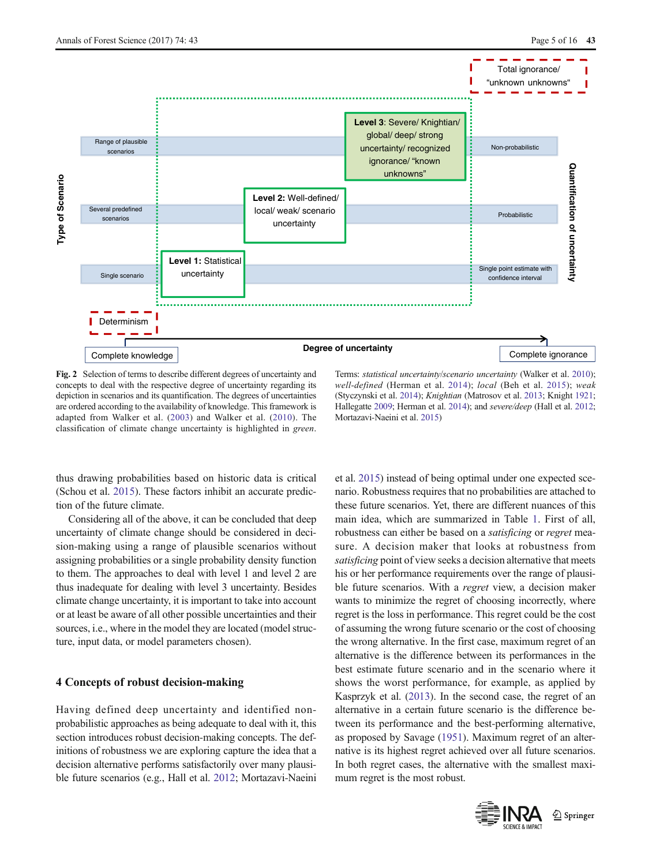<span id="page-4-0"></span>

Fig. 2 Selection of terms to describe different degrees of uncertainty and concepts to deal with the respective degree of uncertainty regarding its depiction in scenarios and its quantification. The degrees of uncertainties are ordered according to the availability of knowledge. This framework is adapted from Walker et al. ([2003](#page-14-0)) and Walker et al. [\(2010](#page-15-0)). The classification of climate change uncertainty is highlighted in green.

Terms: statistical uncertainty/scenario uncertainty (Walker et al. [2010](#page-15-0)); well-defined (Herman et al. [2014](#page-14-0)); local (Beh et al. [2015\)](#page-13-0); weak (Styczynski et al. [2014\)](#page-14-0); Knightian (Matrosov et al. [2013;](#page-14-0) Knight [1921;](#page-14-0) Hallegatte [2009](#page-14-0); Herman et al. [2014](#page-14-0)); and severe/deep (Hall et al. [2012;](#page-14-0) Mortazavi-Naeini et al. [2015](#page-14-0))

thus drawing probabilities based on historic data is critical (Schou et al. [2015](#page-14-0)). These factors inhibit an accurate prediction of the future climate.

Considering all of the above, it can be concluded that deep uncertainty of climate change should be considered in decision-making using a range of plausible scenarios without assigning probabilities or a single probability density function to them. The approaches to deal with level 1 and level 2 are thus inadequate for dealing with level 3 uncertainty. Besides climate change uncertainty, it is important to take into account or at least be aware of all other possible uncertainties and their sources, i.e., where in the model they are located (model structure, input data, or model parameters chosen).

## 4 Concepts of robust decision-making

Having defined deep uncertainty and identified nonprobabilistic approaches as being adequate to deal with it, this section introduces robust decision-making concepts. The definitions of robustness we are exploring capture the idea that a decision alternative performs satisfactorily over many plausible future scenarios (e.g., Hall et al. [2012;](#page-14-0) Mortazavi-Naeini et al. [2015](#page-14-0)) instead of being optimal under one expected scenario. Robustness requires that no probabilities are attached to these future scenarios. Yet, there are different nuances of this main idea, which are summarized in Table [1.](#page-3-0) First of all, robustness can either be based on a satisficing or regret measure. A decision maker that looks at robustness from satisficing point of view seeks a decision alternative that meets his or her performance requirements over the range of plausible future scenarios. With a regret view, a decision maker wants to minimize the regret of choosing incorrectly, where regret is the loss in performance. This regret could be the cost of assuming the wrong future scenario or the cost of choosing the wrong alternative. In the first case, maximum regret of an alternative is the difference between its performances in the best estimate future scenario and in the scenario where it shows the worst performance, for example, as applied by Kasprzyk et al. [\(2013\)](#page-14-0). In the second case, the regret of an alternative in a certain future scenario is the difference between its performance and the best-performing alternative, as proposed by Savage [\(1951\)](#page-14-0). Maximum regret of an alternative is its highest regret achieved over all future scenarios. In both regret cases, the alternative with the smallest maximum regret is the most robust.

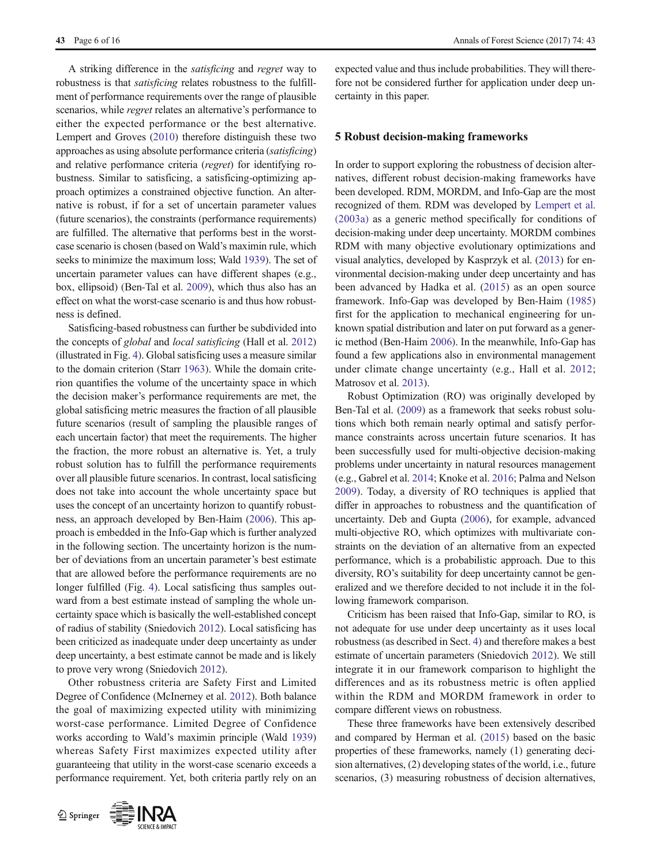<span id="page-5-0"></span>A striking difference in the satisficing and regret way to robustness is that satisficing relates robustness to the fulfillment of performance requirements over the range of plausible scenarios, while *regret* relates an alternative's performance to either the expected performance or the best alternative. Lempert and Groves [\(2010\)](#page-14-0) therefore distinguish these two approaches as using absolute performance criteria (satisficing) and relative performance criteria (regret) for identifying robustness. Similar to satisficing, a satisficing-optimizing approach optimizes a constrained objective function. An alternative is robust, if for a set of uncertain parameter values (future scenarios), the constraints (performance requirements) are fulfilled. The alternative that performs best in the worstcase scenario is chosen (based on Wald's maximin rule, which seeks to minimize the maximum loss; Wald [1939](#page-14-0)). The set of uncertain parameter values can have different shapes (e.g., box, ellipsoid) (Ben-Tal et al. [2009](#page-13-0)), which thus also has an effect on what the worst-case scenario is and thus how robustness is defined.

Satisficing-based robustness can further be subdivided into the concepts of global and local satisficing (Hall et al. [2012\)](#page-14-0) (illustrated in Fig. [4](#page-7-0)). Global satisficing uses a measure similar to the domain criterion (Starr [1963](#page-14-0)). While the domain criterion quantifies the volume of the uncertainty space in which the decision maker's performance requirements are met, the global satisficing metric measures the fraction of all plausible future scenarios (result of sampling the plausible ranges of each uncertain factor) that meet the requirements. The higher the fraction, the more robust an alternative is. Yet, a truly robust solution has to fulfill the performance requirements over all plausible future scenarios. In contrast, local satisficing does not take into account the whole uncertainty space but uses the concept of an uncertainty horizon to quantify robustness, an approach developed by Ben-Haim ([2006](#page-13-0)). This approach is embedded in the Info-Gap which is further analyzed in the following section. The uncertainty horizon is the number of deviations from an uncertain parameter's best estimate that are allowed before the performance requirements are no longer fulfilled (Fig. [4\)](#page-7-0). Local satisficing thus samples outward from a best estimate instead of sampling the whole uncertainty space which is basically the well-established concept of radius of stability (Sniedovich [2012](#page-14-0)). Local satisficing has been criticized as inadequate under deep uncertainty as under deep uncertainty, a best estimate cannot be made and is likely to prove very wrong (Sniedovich [2012](#page-14-0)).

Other robustness criteria are Safety First and Limited Degree of Confidence (McInerney et al. [2012\)](#page-14-0). Both balance the goal of maximizing expected utility with minimizing worst-case performance. Limited Degree of Confidence works according to Wald's maximin principle (Wald [1939\)](#page-14-0) whereas Safety First maximizes expected utility after guaranteeing that utility in the worst-case scenario exceeds a performance requirement. Yet, both criteria partly rely on an

 $\mathcal{Q}$  Springer  $\Xi$ 



expected value and thus include probabilities. They will therefore not be considered further for application under deep uncertainty in this paper.

#### 5 Robust decision-making frameworks

In order to support exploring the robustness of decision alternatives, different robust decision-making frameworks have been developed. RDM, MORDM, and Info-Gap are the most recognized of them. RDM was developed by [Lempert et al.](#page-14-0) [\(2003a\)](#page-14-0) as a generic method specifically for conditions of decision-making under deep uncertainty. MORDM combines RDM with many objective evolutionary optimizations and visual analytics, developed by Kasprzyk et al. [\(2013\)](#page-14-0) for environmental decision-making under deep uncertainty and has been advanced by Hadka et al. [\(2015](#page-14-0)) as an open source framework. Info-Gap was developed by Ben-Haim [\(1985](#page-13-0)) first for the application to mechanical engineering for unknown spatial distribution and later on put forward as a generic method (Ben-Haim [2006\)](#page-13-0). In the meanwhile, Info-Gap has found a few applications also in environmental management under climate change uncertainty (e.g., Hall et al. [2012;](#page-14-0) Matrosov et al. [2013](#page-14-0)).

Robust Optimization (RO) was originally developed by Ben-Tal et al. [\(2009\)](#page-13-0) as a framework that seeks robust solutions which both remain nearly optimal and satisfy performance constraints across uncertain future scenarios. It has been successfully used for multi-objective decision-making problems under uncertainty in natural resources management (e.g., Gabrel et al. [2014](#page-13-0); Knoke et al. [2016](#page-14-0); Palma and Nelson [2009\)](#page-14-0). Today, a diversity of RO techniques is applied that differ in approaches to robustness and the quantification of uncertainty. Deb and Gupta [\(2006\)](#page-13-0), for example, advanced multi-objective RO, which optimizes with multivariate constraints on the deviation of an alternative from an expected performance, which is a probabilistic approach. Due to this diversity, RO's suitability for deep uncertainty cannot be generalized and we therefore decided to not include it in the following framework comparison.

Criticism has been raised that Info-Gap, similar to RO, is not adequate for use under deep uncertainty as it uses local robustness (as described in Sect. [4](#page-4-0)) and therefore makes a best estimate of uncertain parameters (Sniedovich [2012\)](#page-14-0). We still integrate it in our framework comparison to highlight the differences and as its robustness metric is often applied within the RDM and MORDM framework in order to compare different views on robustness.

These three frameworks have been extensively described and compared by Herman et al. [\(2015\)](#page-14-0) based on the basic properties of these frameworks, namely (1) generating decision alternatives, (2) developing states of the world, i.e., future scenarios, (3) measuring robustness of decision alternatives,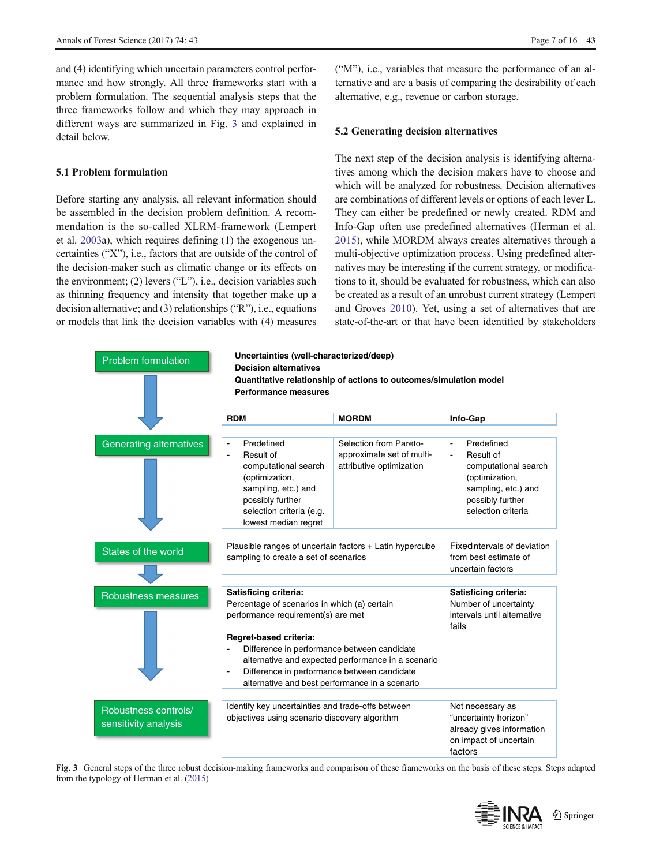and (4) identifying which uncertain parameters control performance and how strongly. All three frameworks start with a problem formulation. The sequential analysis steps that the three frameworks follow and which they may approach in different ways are summarized in Fig. 3 and explained in detail below.

## 5.1 Problem formulation

Before starting any analysis, all relevant information should be assembled in the decision problem definition. A recommendation is the so-called XLRM-framework (Lempert et al. [2003](#page-14-0)a), which requires defining (1) the exogenous uncertainties ("X"), i.e., factors that are outside of the control of the decision-maker such as climatic change or its effects on the environment; (2) levers ("L"), i.e., decision variables such as thinning frequency and intensity that together make up a decision alternative; and (3) relationships ("R"), i.e., equations or models that link the decision variables with (4) measures

("M"), i.e., variables that measure the performance of an alternative and are a basis of comparing the desirability of each alternative, e.g., revenue or carbon storage.

## 5.2 Generating decision alternatives

The next step of the decision analysis is identifying alternatives among which the decision makers have to choose and which will be analyzed for robustness. Decision alternatives are combinations of different levels or options of each lever L. They can either be predefined or newly created. RDM and Info-Gap often use predefined alternatives (Herman et al. [2015\)](#page-14-0), while MORDM always creates alternatives through a multi-objective optimization process. Using predefined alternatives may be interesting if the current strategy, or modifications to it, should be evaluated for robustness, which can also be created as a result of an unrobust current strategy (Lempert and Groves [2010](#page-14-0)). Yet, using a set of alternatives that are state-of-the-art or that have been identified by stakeholders

| <b>Problem formulation</b>                   | Uncertainties (well-characterized/deep)<br><b>Decision alternatives</b><br><b>Performance measures</b>                                                                                                                                                                                                                              | Quantitative relationship of actions to outcomes/simulation model               |                                                                                                                                                      |
|----------------------------------------------|-------------------------------------------------------------------------------------------------------------------------------------------------------------------------------------------------------------------------------------------------------------------------------------------------------------------------------------|---------------------------------------------------------------------------------|------------------------------------------------------------------------------------------------------------------------------------------------------|
|                                              | <b>RDM</b>                                                                                                                                                                                                                                                                                                                          | <b>MORDM</b>                                                                    | Info-Gap                                                                                                                                             |
| <b>Generating alternatives</b>               | Predefined<br>Result of<br>$\blacksquare$<br>computational search<br>(optimization,<br>sampling, etc.) and<br>possibly further<br>selection criteria (e.g.<br>lowest median regret                                                                                                                                                  | Selection from Pareto-<br>approximate set of multi-<br>attributive optimization | Predefined<br>Result of<br>$\blacksquare$<br>computational search<br>(optimization,<br>sampling, etc.) and<br>possibly further<br>selection criteria |
| States of the world                          | sampling to create a set of scenarios                                                                                                                                                                                                                                                                                               | Plausible ranges of uncertain factors + Latin hypercube                         | Fixedintervals of deviation<br>from best estimate of<br>uncertain factors                                                                            |
| Robustness measures                          | Satisficing criteria:<br>Percentage of scenarios in which (a) certain<br>performance requirement(s) are met<br>Regret-based criteria:<br>Difference in performance between candidate<br>$\overline{\phantom{0}}$<br>Difference in performance between candidate<br>$\overline{a}$<br>alternative and best performance in a scenario | alternative and expected performance in a scenario                              | Satisficing criteria:<br>Number of uncertainty<br>intervals until alternative<br>fails                                                               |
| Robustness controls/<br>sensitivity analysis | Identify key uncertainties and trade-offs between<br>objectives using scenario discovery algorithm                                                                                                                                                                                                                                  |                                                                                 | Not necessary as<br>"uncertainty horizon"<br>already gives information<br>on impact of uncertain<br>factors                                          |

Fig. 3 General steps of the three robust decision-making frameworks and comparison of these frameworks on the basis of these steps. Steps adapted from the typology of Herman et al. [\(2015\)](#page-14-0)

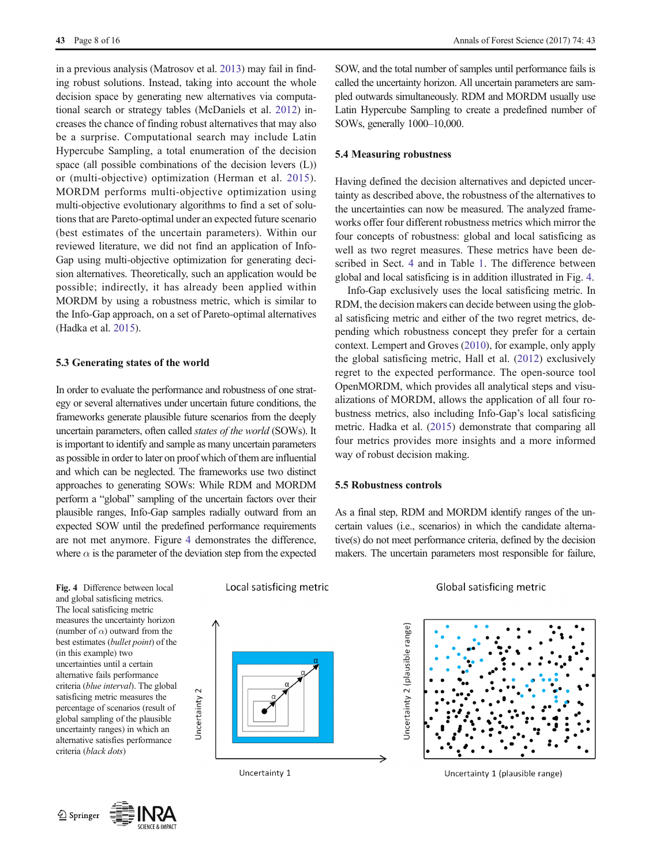<span id="page-7-0"></span>in a previous analysis (Matrosov et al. [2013](#page-14-0)) may fail in finding robust solutions. Instead, taking into account the whole decision space by generating new alternatives via computational search or strategy tables (McDaniels et al. [2012](#page-14-0)) increases the chance of finding robust alternatives that may also be a surprise. Computational search may include Latin Hypercube Sampling, a total enumeration of the decision space (all possible combinations of the decision levers (L)) or (multi-objective) optimization (Herman et al. [2015](#page-14-0)). MORDM performs multi-objective optimization using multi-objective evolutionary algorithms to find a set of solutions that are Pareto-optimal under an expected future scenario (best estimates of the uncertain parameters). Within our reviewed literature, we did not find an application of Info-Gap using multi-objective optimization for generating decision alternatives. Theoretically, such an application would be possible; indirectly, it has already been applied within MORDM by using a robustness metric, which is similar to the Info-Gap approach, on a set of Pareto-optimal alternatives (Hadka et al. [2015](#page-14-0)).

## 5.3 Generating states of the world

In order to evaluate the performance and robustness of one strategy or several alternatives under uncertain future conditions, the frameworks generate plausible future scenarios from the deeply uncertain parameters, often called states of the world (SOWs). It is important to identify and sample as many uncertain parameters as possible in order to later on proof which of them are influential and which can be neglected. The frameworks use two distinct approaches to generating SOWs: While RDM and MORDM perform a "global" sampling of the uncertain factors over their plausible ranges, Info-Gap samples radially outward from an expected SOW until the predefined performance requirements are not met anymore. Figure 4 demonstrates the difference, where  $\alpha$  is the parameter of the deviation step from the expected

Uncertainty 2

Fig. 4 Difference between local and global satisficing metrics. The local satisficing metric measures the uncertainty horizon (number of  $\alpha$ ) outward from the best estimates (bullet point) of the (in this example) two uncertainties until a certain alternative fails performance criteria (blue interval). The global satisficing metric measures the percentage of scenarios (result of global sampling of the plausible uncertainty ranges) in which an alternative satisfies performance criteria (black dots)





SOW, and the total number of samples until performance fails is called the uncertainty horizon. All uncertain parameters are sampled outwards simultaneously. RDM and MORDM usually use Latin Hypercube Sampling to create a predefined number of SOWs, generally 1000–10,000.

## 5.4 Measuring robustness

Having defined the decision alternatives and depicted uncertainty as described above, the robustness of the alternatives to the uncertainties can now be measured. The analyzed frameworks offer four different robustness metrics which mirror the four concepts of robustness: global and local satisficing as well as two regret measures. These metrics have been described in Sect. [4](#page-4-0) and in Table [1](#page-3-0). The difference between global and local satisficing is in addition illustrated in Fig. 4.

Info-Gap exclusively uses the local satisficing metric. In RDM, the decision makers can decide between using the global satisficing metric and either of the two regret metrics, depending which robustness concept they prefer for a certain context. Lempert and Groves [\(2010\)](#page-14-0), for example, only apply the global satisficing metric, Hall et al. ([2012\)](#page-14-0) exclusively regret to the expected performance. The open-source tool OpenMORDM, which provides all analytical steps and visualizations of MORDM, allows the application of all four robustness metrics, also including Info-Gap's local satisficing metric. Hadka et al. [\(2015\)](#page-14-0) demonstrate that comparing all four metrics provides more insights and a more informed way of robust decision making.

## 5.5 Robustness controls

As a final step, RDM and MORDM identify ranges of the uncertain values (i.e., scenarios) in which the candidate alternative(s) do not meet performance criteria, defined by the decision makers. The uncertain parameters most responsible for failure,

Uncertainty 1

Local satisficing metric

Global satisficing metric



Uncertainty 1 (plausible range)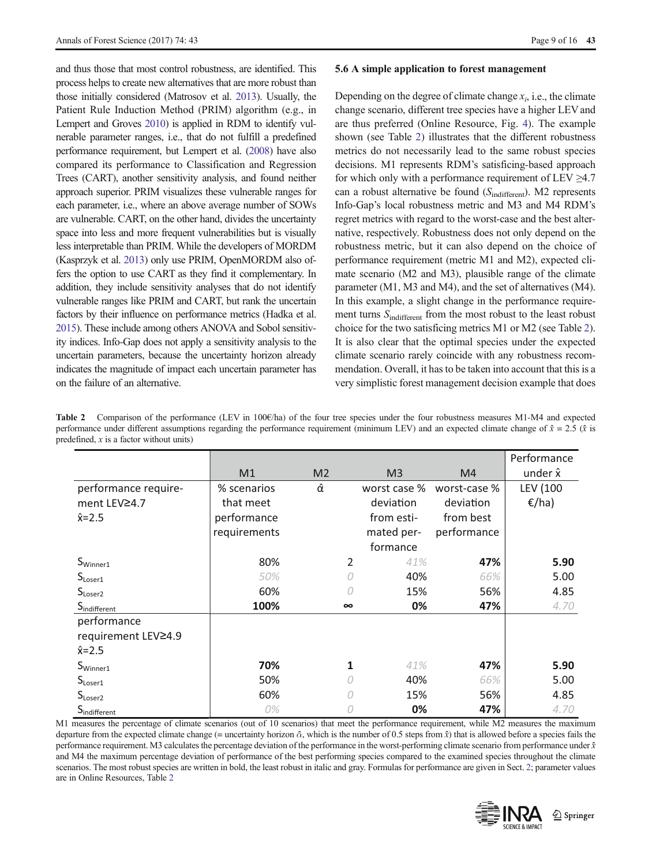and thus those that most control robustness, are identified. This process helps to create new alternatives that are more robust than those initially considered (Matrosov et al. [2013](#page-14-0)). Usually, the Patient Rule Induction Method (PRIM) algorithm (e.g., in Lempert and Groves [2010](#page-14-0)) is applied in RDM to identify vulnerable parameter ranges, i.e., that do not fulfill a predefined performance requirement, but Lempert et al. ([2008](#page-14-0)) have also compared its performance to Classification and Regression Trees (CART), another sensitivity analysis, and found neither approach superior. PRIM visualizes these vulnerable ranges for each parameter, i.e., where an above average number of SOWs are vulnerable. CART, on the other hand, divides the uncertainty space into less and more frequent vulnerabilities but is visually less interpretable than PRIM. While the developers of MORDM (Kasprzyk et al. [2013\)](#page-14-0) only use PRIM, OpenMORDM also offers the option to use CART as they find it complementary. In addition, they include sensitivity analyses that do not identify vulnerable ranges like PRIM and CART, but rank the uncertain factors by their influence on performance metrics (Hadka et al. [2015\)](#page-14-0). These include among others ANOVA and Sobol sensitivity indices. Info-Gap does not apply a sensitivity analysis to the uncertain parameters, because the uncertainty horizon already indicates the magnitude of impact each uncertain parameter has on the failure of an alternative.

#### 5.6 A simple application to forest management

Depending on the degree of climate change  $x_i$ , i.e., the climate change scenario, different tree species have a higher LEV and are thus preferred (Online Resource, Fig. 4). The example shown (see Table 2) illustrates that the different robustness metrics do not necessarily lead to the same robust species decisions. M1 represents RDM's satisficing-based approach for which only with a performance requirement of LEV  $\geq 4.7$ can a robust alternative be found  $(S_{indifferent})$ . M2 represents Info-Gap's local robustness metric and M3 and M4 RDM's regret metrics with regard to the worst-case and the best alternative, respectively. Robustness does not only depend on the robustness metric, but it can also depend on the choice of performance requirement (metric M1 and M2), expected climate scenario (M2 and M3), plausible range of the climate parameter (M1, M3 and M4), and the set of alternatives (M4). In this example, a slight change in the performance requirement turns S<sub>indifferent</sub> from the most robust to the least robust choice for the two satisficing metrics M1 or M2 (see Table 2). It is also clear that the optimal species under the expected climate scenario rarely coincide with any robustness recommendation. Overall, it has to be taken into account that this is a very simplistic forest management decision example that does

| <b>Table 2</b> Comparison of the performance (LEV in 100 $\epsilon$ /ha) of the four tree species under the four robustness measures M1-M4 and expected      |  |
|--------------------------------------------------------------------------------------------------------------------------------------------------------------|--|
| performance under different assumptions regarding the performance requirement (minimum LEV) and an expected climate change of $\hat{x} = 2.5$ ( $\hat{x}$ is |  |
| predefined, x is a factor without units)                                                                                                                     |  |

|                      |              |                |                       |                | Performance |
|----------------------|--------------|----------------|-----------------------|----------------|-------------|
|                      | M1           | M <sub>2</sub> | M <sup>3</sup>        | M <sub>4</sub> | under x     |
| performance require- | % scenarios  | $\hat{\alpha}$ | worst case %          | worst-case %   | LEV (100    |
| ment LEV≥4.7         | that meet    |                | deviation             | deviation      | €/ha)       |
| $\hat{x} = 2.5$      | performance  |                | from esti-            | from best      |             |
|                      | requirements |                | mated per-            | performance    |             |
|                      |              |                | formance              |                |             |
| $S_{\text{Winner1}}$ | 80%          |                | $\overline{2}$<br>41% | 47%            | 5.90        |
| $S_{\text{Loser1}}$  | 50%          |                | 40%                   | 66%            | 5.00        |
| $S_{Loser2}$         | 60%          |                | 15%                   | 56%            | 4.85        |
| Sindifferent         | 100%         |                | 0%<br>$\infty$        | 47%            | 4.70        |
| performance          |              |                |                       |                |             |
| requirement LEV≥4.9  |              |                |                       |                |             |
| $\hat{x} = 2.5$      |              |                |                       |                |             |
| $S_{\text{Winner1}}$ | 70%          |                | 41%<br>1              | 47%            | 5.90        |
| $S_{\text{Loser1}}$  | 50%          |                | 40%                   | 66%            | 5.00        |
| $S_{\text{Loser2}}$  | 60%          |                | 15%                   | 56%            | 4.85        |
| Sindifferent         | 0%           |                | 0%                    | 47%            | 4.70        |

M1 measures the percentage of climate scenarios (out of 10 scenarios) that meet the performance requirement, while M2 measures the maximum departure from the expected climate change (= uncertainty horizon  $\hat{\alpha}$ , which is the number of 0.5 steps from  $\hat{x}$ ) that is allowed before a species fails the performance requirement. M3 calculates the percentage deviation of the performance in the worst-performing climate scenario from performance under  $\hat{x}$ and M4 the maximum percentage deviation of performance of the best performing species compared to the examined species throughout the climate scenarios. The most robust species are written in bold, the least robust in italic and gray. Formulas for performance are given in Sect. [2](#page-1-0); parameter values are in Online Resources, Table 2

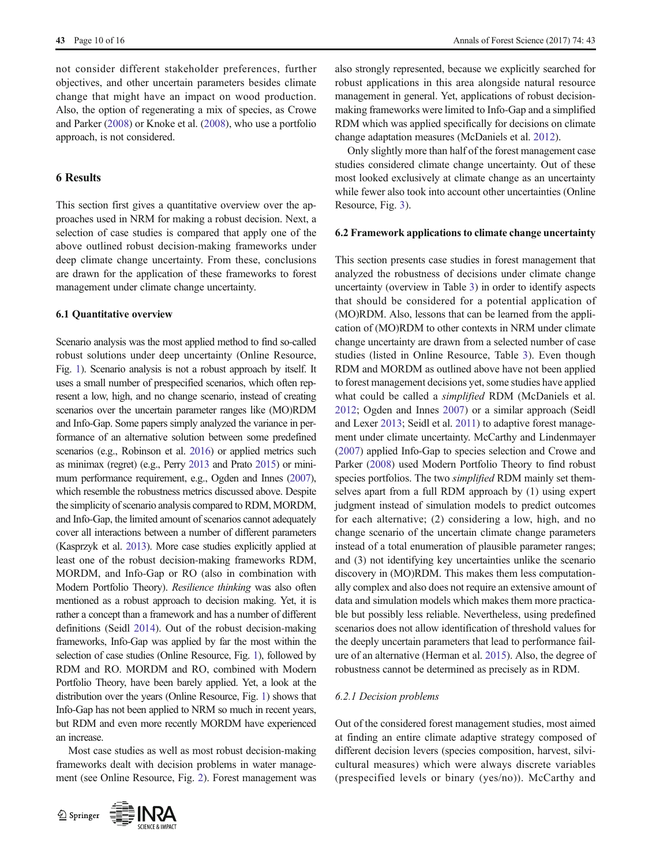<span id="page-9-0"></span>not consider different stakeholder preferences, further objectives, and other uncertain parameters besides climate change that might have an impact on wood production. Also, the option of regenerating a mix of species, as Crowe and Parker [\(2008\)](#page-13-0) or Knoke et al. [\(2008](#page-14-0)), who use a portfolio approach, is not considered.

## 6 Results

This section first gives a quantitative overview over the approaches used in NRM for making a robust decision. Next, a selection of case studies is compared that apply one of the above outlined robust decision-making frameworks under deep climate change uncertainty. From these, conclusions are drawn for the application of these frameworks to forest management under climate change uncertainty.

#### 6.1 Quantitative overview

Scenario analysis was the most applied method to find so-called robust solutions under deep uncertainty (Online Resource, Fig. 1). Scenario analysis is not a robust approach by itself. It uses a small number of prespecified scenarios, which often represent a low, high, and no change scenario, instead of creating scenarios over the uncertain parameter ranges like (MO)RDM and Info-Gap. Some papers simply analyzed the variance in performance of an alternative solution between some predefined scenarios (e.g., Robinson et al. [2016](#page-14-0)) or applied metrics such as minimax (regret) (e.g., Perry [2013](#page-14-0) and Prato [2015](#page-14-0)) or minimum performance requirement, e.g., Ogden and Innes [\(2007\)](#page-14-0), which resemble the robustness metrics discussed above. Despite the simplicity of scenario analysis compared to RDM, MORDM, and Info-Gap, the limited amount of scenarios cannot adequately cover all interactions between a number of different parameters (Kasprzyk et al. [2013\)](#page-14-0). More case studies explicitly applied at least one of the robust decision-making frameworks RDM, MORDM, and Info-Gap or RO (also in combination with Modern Portfolio Theory). Resilience thinking was also often mentioned as a robust approach to decision making. Yet, it is rather a concept than a framework and has a number of different definitions (Seidl [2014\)](#page-14-0). Out of the robust decision-making frameworks, Info-Gap was applied by far the most within the selection of case studies (Online Resource, Fig. 1), followed by RDM and RO. MORDM and RO, combined with Modern Portfolio Theory, have been barely applied. Yet, a look at the distribution over the years (Online Resource, Fig. 1) shows that Info-Gap has not been applied to NRM so much in recent years, but RDM and even more recently MORDM have experienced an increase.

Most case studies as well as most robust decision-making frameworks dealt with decision problems in water management (see Online Resource, Fig. 2). Forest management was



also strongly represented, because we explicitly searched for robust applications in this area alongside natural resource management in general. Yet, applications of robust decisionmaking frameworks were limited to Info-Gap and a simplified RDM which was applied specifically for decisions on climate change adaptation measures (McDaniels et al. [2012](#page-14-0)).

Only slightly more than half of the forest management case studies considered climate change uncertainty. Out of these most looked exclusively at climate change as an uncertainty while fewer also took into account other uncertainties (Online Resource, Fig. 3).

#### 6.2 Framework applications to climate change uncertainty

This section presents case studies in forest management that analyzed the robustness of decisions under climate change uncertainty (overview in Table [3\)](#page-10-0) in order to identify aspects that should be considered for a potential application of (MO)RDM. Also, lessons that can be learned from the application of (MO)RDM to other contexts in NRM under climate change uncertainty are drawn from a selected number of case studies (listed in Online Resource, Table 3). Even though RDM and MORDM as outlined above have not been applied to forest management decisions yet, some studies have applied what could be called a simplified RDM (McDaniels et al. [2012;](#page-14-0) Ogden and Innes [2007](#page-14-0)) or a similar approach (Seidl and Lexer [2013](#page-14-0); Seidl et al. [2011](#page-14-0)) to adaptive forest management under climate uncertainty. McCarthy and Lindenmayer [\(2007\)](#page-14-0) applied Info-Gap to species selection and Crowe and Parker [\(2008\)](#page-13-0) used Modern Portfolio Theory to find robust species portfolios. The two simplified RDM mainly set themselves apart from a full RDM approach by (1) using expert judgment instead of simulation models to predict outcomes for each alternative; (2) considering a low, high, and no change scenario of the uncertain climate change parameters instead of a total enumeration of plausible parameter ranges; and (3) not identifying key uncertainties unlike the scenario discovery in (MO)RDM. This makes them less computationally complex and also does not require an extensive amount of data and simulation models which makes them more practicable but possibly less reliable. Nevertheless, using predefined scenarios does not allow identification of threshold values for the deeply uncertain parameters that lead to performance failure of an alternative (Herman et al. [2015\)](#page-14-0). Also, the degree of robustness cannot be determined as precisely as in RDM.

#### 6.2.1 Decision problems

Out of the considered forest management studies, most aimed at finding an entire climate adaptive strategy composed of different decision levers (species composition, harvest, silvicultural measures) which were always discrete variables (prespecified levels or binary (yes/no)). McCarthy and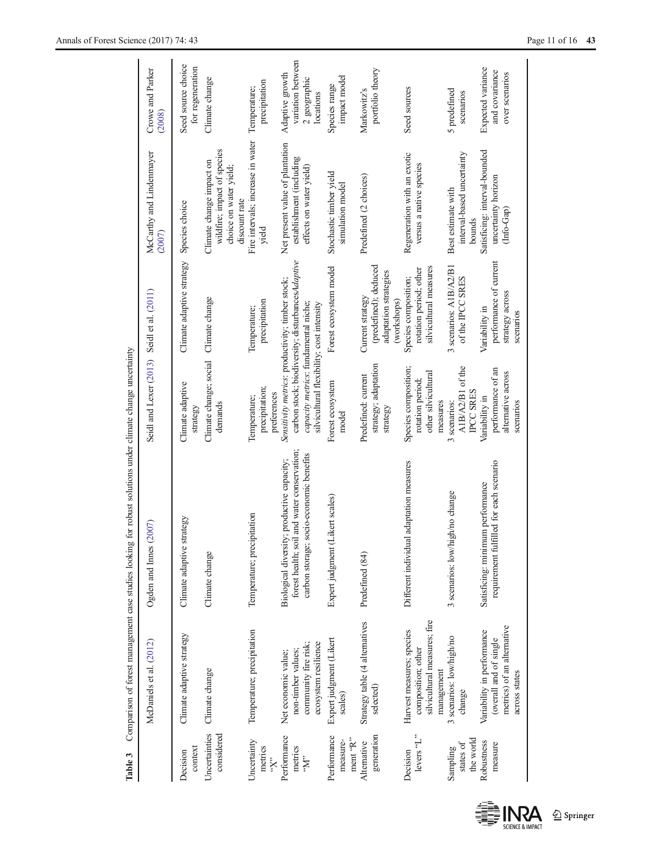<span id="page-10-0"></span>

|                                           | McDaniels et al. (2012)                                                                             | Ogden and Innes (2007)                                                                                                               | Seidl and Lexer (2013) Seidl et al. (2011)                                                                                            |                                                                                   | McCarthy and Lindenmayer<br>(2007)                                                                 | Crowe and Parker<br>(2008)                                        |
|-------------------------------------------|-----------------------------------------------------------------------------------------------------|--------------------------------------------------------------------------------------------------------------------------------------|---------------------------------------------------------------------------------------------------------------------------------------|-----------------------------------------------------------------------------------|----------------------------------------------------------------------------------------------------|-------------------------------------------------------------------|
| context<br>Decision                       | Climate adaptive strategy                                                                           | Climate adaptive strategy                                                                                                            | Climate adaptive<br>strategy                                                                                                          | Climate adaptive strategy                                                         | Species choice                                                                                     | Seed source choice<br>for regeneration                            |
| Uncertainties<br>considered               | Climate change                                                                                      | Climate change                                                                                                                       | Climate change; social Climate change<br>demands                                                                                      |                                                                                   | wildfire; impact of species<br>Climate change impact on<br>choice on water yield;<br>discount rate | Climate change                                                    |
| Uncertainty<br>metrics<br>$\mathbf{x}$    | Temperature; precipitation                                                                          | Temperature; precipitation                                                                                                           | precipitation;<br>preferences<br>Temperature;                                                                                         | precipitation<br>Temperature;                                                     | Fire intervals; increase in water Temperature;<br>yield                                            | precipitation                                                     |
| Performance<br>metrics<br>$``\mathbf{M}"$ | ecosystem resilience<br>community fire risk;<br>non-timber values;<br>Net economic value;           | forest health; soil and water conservation;<br>carbon storage; socio-economic benefits<br>Biological diversity; productive capacity; | Sensitivity metrics: productivity; timber stock;<br>capacity metrics: fundamental niche;<br>silvicultural flexibility; cost intensity | carbon stock; biodiversity; disturbancesAdaptive                                  | Net present value of plantation<br>establishment (including<br>effects on water yield)             | variation between<br>Adaptive growth<br>2 geographic<br>locations |
| Performance<br>ment " $R$ "<br>measure-   | Expert judgment (Likert<br>scales)                                                                  | Expert judgment (Likert scales)                                                                                                      | Forest ecosystem<br>model                                                                                                             | Forest ecosystem model                                                            | Stochastic timber yield<br>simulation model                                                        | impact model<br>Species range                                     |
| generation<br>Alternative                 | Strategy table (4 alternatives<br>selected)                                                         | Predefined (84)                                                                                                                      | strategy; adaptation<br>Predefined: current<br>strategy                                                                               | (predefined); deduced<br>adaptation strategies<br>Current strategy<br>(workshops) | Predefined (2 choices)                                                                             | portfolio theory<br>Markowitz's                                   |
| levers " $L$ "<br>Decision                | silvicultural measures; fire<br>Harvest measures; species<br>composition; other<br>management       | Different individual adaptation measures                                                                                             | Species composition;<br>other silvicultural<br>rotation period;<br>measures                                                           | silvicultural measures<br>rotation period; other<br>Species composition;          | Regeneration with an exotic<br>versus a native species                                             | Seed sources                                                      |
| the world<br>states of<br>Sampling        | 3 scenarios: low/high/no<br>change                                                                  | 3 scenarios: low/high/no change                                                                                                      | A1B/A2/B1 of the<br>IPCC SRES<br>3 scenarios:                                                                                         | 3 scenarios: A1B/A2/B1<br>of the IPCC SRES                                        | interval-based uncertainty<br>Best estimate with<br>bounds                                         | 5 predefined<br>scenarios                                         |
| Robustness<br>measure                     | metrics) of an alternative<br>Variability in performance<br>(overall and of single<br>across states | requirement fulfilled for each scenario<br>Satisficing: minimum performance                                                          | performance of an<br>alternative across<br>Variability in<br>scenarios                                                                | performance of current<br>strategy across<br>Variability in<br>scenarios          | Satisficing: interval-bounded<br>uncertainty horizon<br>$(Into-Gap)$                               | Expected variance<br>and covariance<br>over scenarios             |
|                                           |                                                                                                     |                                                                                                                                      |                                                                                                                                       |                                                                                   |                                                                                                    |                                                                   |

Table 3 Comparison of forest management case studies looking for robust solutions under climate change uncertainty Table 3 Comparison of forest management case studies looking for robust solutions under climate change uncertainty

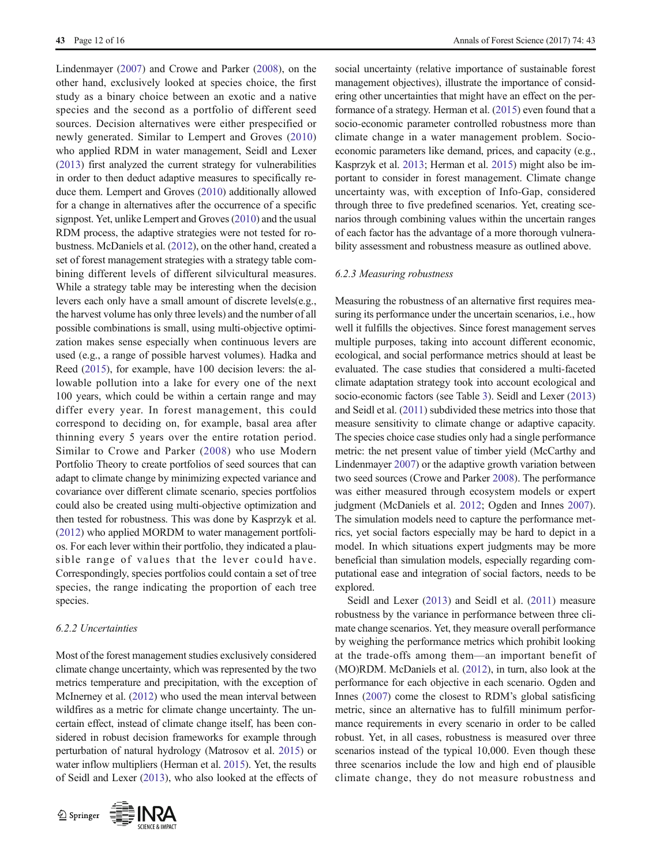Lindenmayer [\(2007\)](#page-14-0) and Crowe and Parker ([2008](#page-13-0)), on the other hand, exclusively looked at species choice, the first study as a binary choice between an exotic and a native species and the second as a portfolio of different seed sources. Decision alternatives were either prespecified or newly generated. Similar to Lempert and Groves [\(2010\)](#page-14-0) who applied RDM in water management, Seidl and Lexer [\(2013\)](#page-14-0) first analyzed the current strategy for vulnerabilities in order to then deduct adaptive measures to specifically reduce them. Lempert and Groves ([2010](#page-14-0)) additionally allowed for a change in alternatives after the occurrence of a specific signpost. Yet, unlike Lempert and Groves [\(2010](#page-14-0)) and the usual RDM process, the adaptive strategies were not tested for robustness. McDaniels et al. [\(2012](#page-14-0)), on the other hand, created a set of forest management strategies with a strategy table combining different levels of different silvicultural measures. While a strategy table may be interesting when the decision levers each only have a small amount of discrete levels(e.g., the harvest volume has only three levels) and the number of all possible combinations is small, using multi-objective optimization makes sense especially when continuous levers are used (e.g., a range of possible harvest volumes). Hadka and Reed ([2015](#page-13-0)), for example, have 100 decision levers: the allowable pollution into a lake for every one of the next 100 years, which could be within a certain range and may differ every year. In forest management, this could correspond to deciding on, for example, basal area after thinning every 5 years over the entire rotation period. Similar to Crowe and Parker ([2008\)](#page-13-0) who use Modern Portfolio Theory to create portfolios of seed sources that can adapt to climate change by minimizing expected variance and covariance over different climate scenario, species portfolios could also be created using multi-objective optimization and then tested for robustness. This was done by Kasprzyk et al. [\(2012\)](#page-14-0) who applied MORDM to water management portfolios. For each lever within their portfolio, they indicated a plausible range of values that the lever could have. Correspondingly, species portfolios could contain a set of tree species, the range indicating the proportion of each tree species.

#### 6.2.2 Uncertainties

Most of the forest management studies exclusively considered climate change uncertainty, which was represented by the two metrics temperature and precipitation, with the exception of McInerney et al. [\(2012\)](#page-14-0) who used the mean interval between wildfires as a metric for climate change uncertainty. The uncertain effect, instead of climate change itself, has been considered in robust decision frameworks for example through perturbation of natural hydrology (Matrosov et al. [2015](#page-14-0)) or water inflow multipliers (Herman et al. [2015\)](#page-14-0). Yet, the results of Seidl and Lexer [\(2013\)](#page-14-0), who also looked at the effects of

 $\mathcal{Q}$  Springer  $\Xi$ 



social uncertainty (relative importance of sustainable forest management objectives), illustrate the importance of considering other uncertainties that might have an effect on the performance of a strategy. Herman et al. [\(2015\)](#page-14-0) even found that a socio-economic parameter controlled robustness more than climate change in a water management problem. Socioeconomic parameters like demand, prices, and capacity (e.g., Kasprzyk et al. [2013;](#page-14-0) Herman et al. [2015\)](#page-14-0) might also be important to consider in forest management. Climate change uncertainty was, with exception of Info-Gap, considered through three to five predefined scenarios. Yet, creating scenarios through combining values within the uncertain ranges of each factor has the advantage of a more thorough vulnerability assessment and robustness measure as outlined above.

#### 6.2.3 Measuring robustness

Measuring the robustness of an alternative first requires measuring its performance under the uncertain scenarios, i.e., how well it fulfills the objectives. Since forest management serves multiple purposes, taking into account different economic, ecological, and social performance metrics should at least be evaluated. The case studies that considered a multi-faceted climate adaptation strategy took into account ecological and socio-economic factors (see Table [3\)](#page-10-0). Seidl and Lexer [\(2013\)](#page-14-0) and Seidl et al. [\(2011](#page-14-0)) subdivided these metrics into those that measure sensitivity to climate change or adaptive capacity. The species choice case studies only had a single performance metric: the net present value of timber yield (McCarthy and Lindenmayer [2007\)](#page-14-0) or the adaptive growth variation between two seed sources (Crowe and Parker [2008\)](#page-13-0). The performance was either measured through ecosystem models or expert judgment (McDaniels et al. [2012;](#page-14-0) Ogden and Innes [2007\)](#page-14-0). The simulation models need to capture the performance metrics, yet social factors especially may be hard to depict in a model. In which situations expert judgments may be more beneficial than simulation models, especially regarding computational ease and integration of social factors, needs to be explored.

Seidl and Lexer [\(2013](#page-14-0)) and Seidl et al. [\(2011\)](#page-14-0) measure robustness by the variance in performance between three climate change scenarios. Yet, they measure overall performance by weighing the performance metrics which prohibit looking at the trade-offs among them—an important benefit of (MO)RDM. McDaniels et al. ([2012](#page-14-0)), in turn, also look at the performance for each objective in each scenario. Ogden and Innes [\(2007](#page-14-0)) come the closest to RDM's global satisficing metric, since an alternative has to fulfill minimum performance requirements in every scenario in order to be called robust. Yet, in all cases, robustness is measured over three scenarios instead of the typical 10,000. Even though these three scenarios include the low and high end of plausible climate change, they do not measure robustness and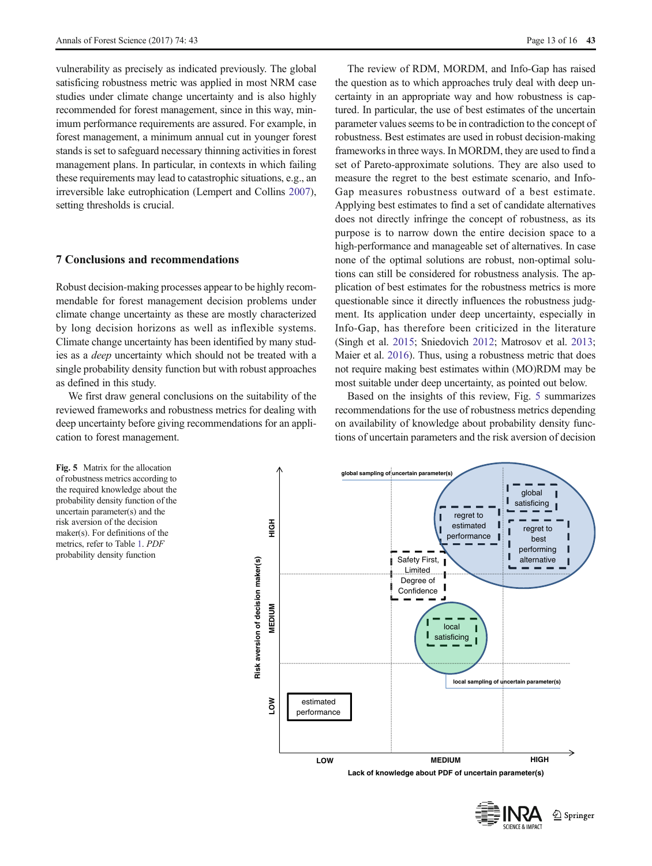vulnerability as precisely as indicated previously. The global satisficing robustness metric was applied in most NRM case studies under climate change uncertainty and is also highly recommended for forest management, since in this way, minimum performance requirements are assured. For example, in forest management, a minimum annual cut in younger forest stands is set to safeguard necessary thinning activities in forest management plans. In particular, in contexts in which failing these requirements may lead to catastrophic situations, e.g., an irreversible lake eutrophication (Lempert and Collins [2007\)](#page-14-0), setting thresholds is crucial.

#### 7 Conclusions and recommendations

Robust decision-making processes appear to be highly recommendable for forest management decision problems under climate change uncertainty as these are mostly characterized by long decision horizons as well as inflexible systems. Climate change uncertainty has been identified by many studies as a deep uncertainty which should not be treated with a single probability density function but with robust approaches as defined in this study.

We first draw general conclusions on the suitability of the reviewed frameworks and robustness metrics for dealing with deep uncertainty before giving recommendations for an application to forest management.

of robustness metrics according to the required knowledge about the probability density function of the uncertain parameter(s) and the risk aversion of the decision maker(s). For definitions of the metrics, refer to Table [1.](#page-3-0) PDF probability density function

The review of RDM, MORDM, and Info-Gap has raised the question as to which approaches truly deal with deep uncertainty in an appropriate way and how robustness is captured. In particular, the use of best estimates of the uncertain parameter values seems to be in contradiction to the concept of robustness. Best estimates are used in robust decision-making frameworks in three ways. In MORDM, they are used to find a set of Pareto-approximate solutions. They are also used to measure the regret to the best estimate scenario, and Info-Gap measures robustness outward of a best estimate. Applying best estimates to find a set of candidate alternatives does not directly infringe the concept of robustness, as its purpose is to narrow down the entire decision space to a high-performance and manageable set of alternatives. In case none of the optimal solutions are robust, non-optimal solutions can still be considered for robustness analysis. The application of best estimates for the robustness metrics is more questionable since it directly influences the robustness judgment. Its application under deep uncertainty, especially in Info-Gap, has therefore been criticized in the literature (Singh et al. [2015;](#page-14-0) Sniedovich [2012;](#page-14-0) Matrosov et al. [2013;](#page-14-0) Maier et al. [2016\)](#page-14-0). Thus, using a robustness metric that does not require making best estimates within (MO)RDM may be most suitable under deep uncertainty, as pointed out below.

Based on the insights of this review, Fig. 5 summarizes recommendations for the use of robustness metrics depending on availability of knowledge about probability density functions of uncertain parameters and the risk aversion of decision



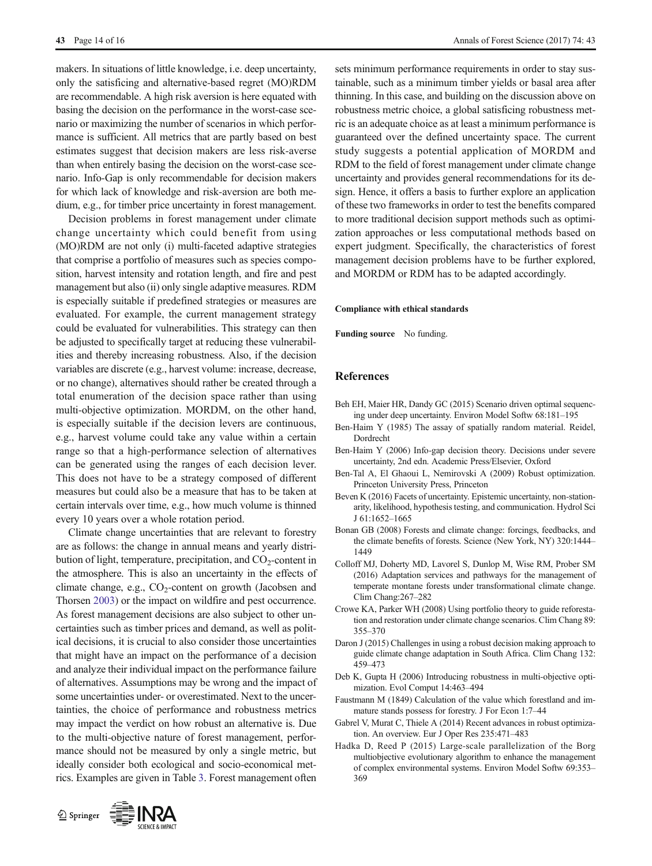<span id="page-13-0"></span>makers. In situations of little knowledge, i.e. deep uncertainty, only the satisficing and alternative-based regret (MO)RDM are recommendable. A high risk aversion is here equated with basing the decision on the performance in the worst-case scenario or maximizing the number of scenarios in which performance is sufficient. All metrics that are partly based on best estimates suggest that decision makers are less risk-averse than when entirely basing the decision on the worst-case scenario. Info-Gap is only recommendable for decision makers for which lack of knowledge and risk-aversion are both medium, e.g., for timber price uncertainty in forest management.

Decision problems in forest management under climate change uncertainty which could benefit from using (MO)RDM are not only (i) multi-faceted adaptive strategies that comprise a portfolio of measures such as species composition, harvest intensity and rotation length, and fire and pest management but also (ii) only single adaptive measures. RDM is especially suitable if predefined strategies or measures are evaluated. For example, the current management strategy could be evaluated for vulnerabilities. This strategy can then be adjusted to specifically target at reducing these vulnerabilities and thereby increasing robustness. Also, if the decision variables are discrete (e.g., harvest volume: increase, decrease, or no change), alternatives should rather be created through a total enumeration of the decision space rather than using multi-objective optimization. MORDM, on the other hand, is especially suitable if the decision levers are continuous, e.g., harvest volume could take any value within a certain range so that a high-performance selection of alternatives can be generated using the ranges of each decision lever. This does not have to be a strategy composed of different measures but could also be a measure that has to be taken at certain intervals over time, e.g., how much volume is thinned every 10 years over a whole rotation period.

Climate change uncertainties that are relevant to forestry are as follows: the change in annual means and yearly distribution of light, temperature, precipitation, and  $CO_2$ -content in the atmosphere. This is also an uncertainty in the effects of climate change, e.g.,  $CO<sub>2</sub>$ -content on growth (Jacobsen and Thorsen [2003\)](#page-14-0) or the impact on wildfire and pest occurrence. As forest management decisions are also subject to other uncertainties such as timber prices and demand, as well as political decisions, it is crucial to also consider those uncertainties that might have an impact on the performance of a decision and analyze their individual impact on the performance failure of alternatives. Assumptions may be wrong and the impact of some uncertainties under- or overestimated. Next to the uncertainties, the choice of performance and robustness metrics may impact the verdict on how robust an alternative is. Due to the multi-objective nature of forest management, performance should not be measured by only a single metric, but ideally consider both ecological and socio-economical metrics. Examples are given in Table [3](#page-10-0). Forest management often

sets minimum performance requirements in order to stay sustainable, such as a minimum timber yields or basal area after thinning. In this case, and building on the discussion above on robustness metric choice, a global satisficing robustness metric is an adequate choice as at least a minimum performance is guaranteed over the defined uncertainty space. The current study suggests a potential application of MORDM and RDM to the field of forest management under climate change uncertainty and provides general recommendations for its design. Hence, it offers a basis to further explore an application of these two frameworks in order to test the benefits compared to more traditional decision support methods such as optimization approaches or less computational methods based on expert judgment. Specifically, the characteristics of forest management decision problems have to be further explored, and MORDM or RDM has to be adapted accordingly.

#### Compliance with ethical standards

Funding source No funding.

# References

- Beh EH, Maier HR, Dandy GC (2015) Scenario driven optimal sequencing under deep uncertainty. Environ Model Softw 68:181–195
- Ben-Haim Y (1985) The assay of spatially random material. Reidel, Dordrecht
- Ben-Haim Y (2006) Info-gap decision theory. Decisions under severe uncertainty, 2nd edn. Academic Press/Elsevier, Oxford
- Ben-Tal A, El Ghaoui L, Nemirovski A (2009) Robust optimization. Princeton University Press, Princeton
- Beven K (2016) Facets of uncertainty. Epistemic uncertainty, non-stationarity, likelihood, hypothesis testing, and communication. Hydrol Sci J 61:1652–1665
- Bonan GB (2008) Forests and climate change: forcings, feedbacks, and the climate benefits of forests. Science (New York, NY) 320:1444– 1449
- Colloff MJ, Doherty MD, Lavorel S, Dunlop M, Wise RM, Prober SM (2016) Adaptation services and pathways for the management of temperate montane forests under transformational climate change. Clim Chang:267–282
- Crowe KA, Parker WH (2008) Using portfolio theory to guide reforestation and restoration under climate change scenarios. Clim Chang 89: 355–370
- Daron J (2015) Challenges in using a robust decision making approach to guide climate change adaptation in South Africa. Clim Chang 132: 459–473
- Deb K, Gupta H (2006) Introducing robustness in multi-objective optimization. Evol Comput 14:463–494
- Faustmann M (1849) Calculation of the value which forestland and immature stands possess for forestry. J For Econ 1:7–44
- Gabrel V, Murat C, Thiele A (2014) Recent advances in robust optimization. An overview. Eur J Oper Res 235:471–483
- Hadka D, Reed P (2015) Large-scale parallelization of the Borg multiobjective evolutionary algorithm to enhance the management of complex environmental systems. Environ Model Softw 69:353– 369

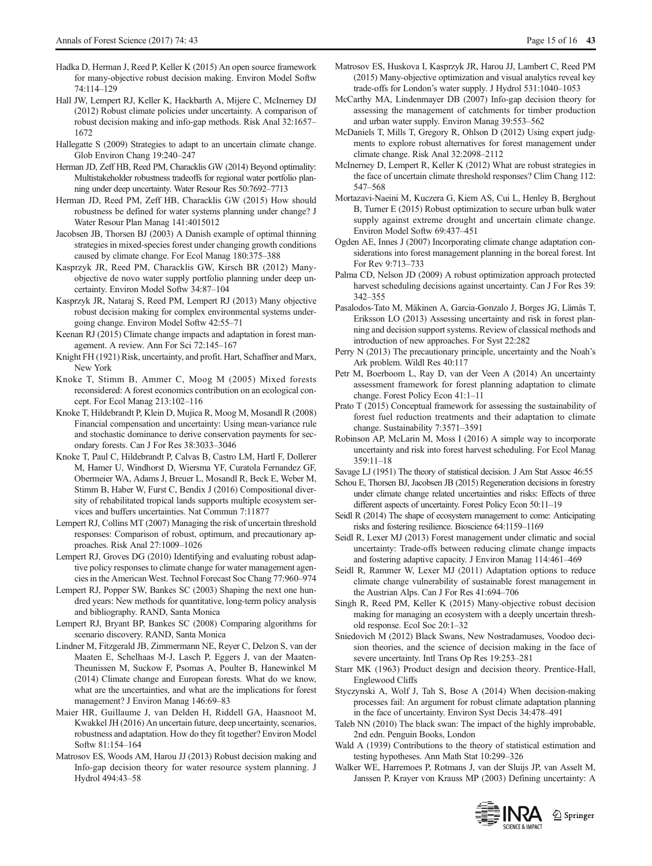- <span id="page-14-0"></span>Hadka D, Herman J, Reed P, Keller K (2015) An open source framework for many-objective robust decision making. Environ Model Softw 74:114–129
- Hall JW, Lempert RJ, Keller K, Hackbarth A, Mijere C, McInerney DJ (2012) Robust climate policies under uncertainty. A comparison of robust decision making and info-gap methods. Risk Anal 32:1657– 1672
- Hallegatte S (2009) Strategies to adapt to an uncertain climate change. Glob Environ Chang 19:240–247
- Herman JD, Zeff HB, Reed PM, Characklis GW (2014) Beyond optimality: Multistakeholder robustness tradeoffs for regional water portfolio planning under deep uncertainty. Water Resour Res 50:7692–7713
- Herman JD, Reed PM, Zeff HB, Characklis GW (2015) How should robustness be defined for water systems planning under change? J Water Resour Plan Manag 141:4015012
- Jacobsen JB, Thorsen BJ (2003) A Danish example of optimal thinning strategies in mixed-species forest under changing growth conditions caused by climate change. For Ecol Manag 180:375–388
- Kasprzyk JR, Reed PM, Characklis GW, Kirsch BR (2012) Manyobjective de novo water supply portfolio planning under deep uncertainty. Environ Model Softw 34:87–104
- Kasprzyk JR, Nataraj S, Reed PM, Lempert RJ (2013) Many objective robust decision making for complex environmental systems undergoing change. Environ Model Softw 42:55–71
- Keenan RJ (2015) Climate change impacts and adaptation in forest management. A review. Ann For Sci 72:145–167
- Knight FH (1921) Risk, uncertainty, and profit. Hart, Schaffner and Marx, New York
- Knoke T, Stimm B, Ammer C, Moog M (2005) Mixed forests reconsidered: A forest economics contribution on an ecological concept. For Ecol Manag 213:102–116
- Knoke T, Hildebrandt P, Klein D, Mujica R, Moog M, Mosandl R (2008) Financial compensation and uncertainty: Using mean-variance rule and stochastic dominance to derive conservation payments for secondary forests. Can J For Res 38:3033–3046
- Knoke T, Paul C, Hildebrandt P, Calvas B, Castro LM, Hartl F, Dollerer M, Hamer U, Windhorst D, Wiersma YF, Curatola Fernandez GF, Obermeier WA, Adams J, Breuer L, Mosandl R, Beck E, Weber M, Stimm B, Haber W, Furst C, Bendix J (2016) Compositional diversity of rehabilitated tropical lands supports multiple ecosystem services and buffers uncertainties. Nat Commun 7:11877
- Lempert RJ, Collins MT (2007) Managing the risk of uncertain threshold responses: Comparison of robust, optimum, and precautionary approaches. Risk Anal 27:1009–1026
- Lempert RJ, Groves DG (2010) Identifying and evaluating robust adaptive policy responses to climate change for water management agencies in the American West. Technol Forecast Soc Chang 77:960–974
- Lempert RJ, Popper SW, Bankes SC (2003) Shaping the next one hundred years: New methods for quantitative, long-term policy analysis and bibliography. RAND, Santa Monica
- Lempert RJ, Bryant BP, Bankes SC (2008) Comparing algorithms for scenario discovery. RAND, Santa Monica
- Lindner M, Fitzgerald JB, Zimmermann NE, Reyer C, Delzon S, van der Maaten E, Schelhaas M-J, Lasch P, Eggers J, van der Maaten-Theunissen M, Suckow F, Psomas A, Poulter B, Hanewinkel M (2014) Climate change and European forests. What do we know, what are the uncertainties, and what are the implications for forest management? J Environ Manag 146:69–83
- Maier HR, Guillaume J, van Delden H, Riddell GA, Haasnoot M, Kwakkel JH (2016) An uncertain future, deep uncertainty, scenarios, robustness and adaptation. How do they fit together? Environ Model Softw 81:154–164
- Matrosov ES, Woods AM, Harou JJ (2013) Robust decision making and Info-gap decision theory for water resource system planning. J Hydrol 494:43–58
- Matrosov ES, Huskova I, Kasprzyk JR, Harou JJ, Lambert C, Reed PM (2015) Many-objective optimization and visual analytics reveal key trade-offs for London's water supply. J Hydrol 531:1040–1053
- McCarthy MA, Lindenmayer DB (2007) Info-gap decision theory for assessing the management of catchments for timber production and urban water supply. Environ Manag 39:553–562
- McDaniels T, Mills T, Gregory R, Ohlson D (2012) Using expert judgments to explore robust alternatives for forest management under climate change. Risk Anal 32:2098–2112
- McInerney D, Lempert R, Keller K (2012) What are robust strategies in the face of uncertain climate threshold responses? Clim Chang 112: 547–568
- Mortazavi-Naeini M, Kuczera G, Kiem AS, Cui L, Henley B, Berghout B, Turner E (2015) Robust optimization to secure urban bulk water supply against extreme drought and uncertain climate change. Environ Model Softw 69:437–451
- Ogden AE, Innes J (2007) Incorporating climate change adaptation considerations into forest management planning in the boreal forest. Int For Rev 9:713–733
- Palma CD, Nelson JD (2009) A robust optimization approach protected harvest scheduling decisions against uncertainty. Can J For Res 39: 342–355
- Pasalodos-Tato M, Mäkinen A, Garcia-Gonzalo J, Borges JG, Lämås T, Eriksson LO (2013) Assessing uncertainty and risk in forest planning and decision support systems. Review of classical methods and introduction of new approaches. For Syst 22:282
- Perry N (2013) The precautionary principle, uncertainty and the Noah's Ark problem. Wildl Res 40:117
- Petr M, Boerboom L, Ray D, van der Veen A (2014) An uncertainty assessment framework for forest planning adaptation to climate change. Forest Policy Econ 41:1–11
- Prato T (2015) Conceptual framework for assessing the sustainability of forest fuel reduction treatments and their adaptation to climate change. Sustainability 7:3571–3591
- Robinson AP, McLarin M, Moss I (2016) A simple way to incorporate uncertainty and risk into forest harvest scheduling. For Ecol Manag 359:11–18
- Savage LJ (1951) The theory of statistical decision. J Am Stat Assoc 46:55
- Schou E, Thorsen BJ, Jacobsen JB (2015) Regeneration decisions in forestry under climate change related uncertainties and risks: Effects of three different aspects of uncertainty. Forest Policy Econ 50:11–19
- Seidl R (2014) The shape of ecosystem management to come: Anticipating risks and fostering resilience. Bioscience 64:1159–1169
- Seidl R, Lexer MJ (2013) Forest management under climatic and social uncertainty: Trade-offs between reducing climate change impacts and fostering adaptive capacity. J Environ Manag 114:461–469
- Seidl R, Rammer W, Lexer MJ (2011) Adaptation options to reduce climate change vulnerability of sustainable forest management in the Austrian Alps. Can J For Res 41:694–706
- Singh R, Reed PM, Keller K (2015) Many-objective robust decision making for managing an ecosystem with a deeply uncertain threshold response. Ecol Soc 20:1–32
- Sniedovich M (2012) Black Swans, New Nostradamuses, Voodoo decision theories, and the science of decision making in the face of severe uncertainty. Intl Trans Op Res 19:253–281
- Starr MK (1963) Product design and decision theory. Prentice-Hall, Englewood Cliffs
- Styczynski A, Wolf J, Tah S, Bose A (2014) When decision-making processes fail: An argument for robust climate adaptation planning in the face of uncertainty. Environ Syst Decis 34:478–491
- Taleb NN (2010) The black swan: The impact of the highly improbable, 2nd edn. Penguin Books, London
- Wald A (1939) Contributions to the theory of statistical estimation and testing hypotheses. Ann Math Stat 10:299–326
- Walker WE, Harremoes P, Rotmans J, van der Sluijs JP, van Asselt M, Janssen P, Krayer von Krauss MP (2003) Defining uncertainty: A